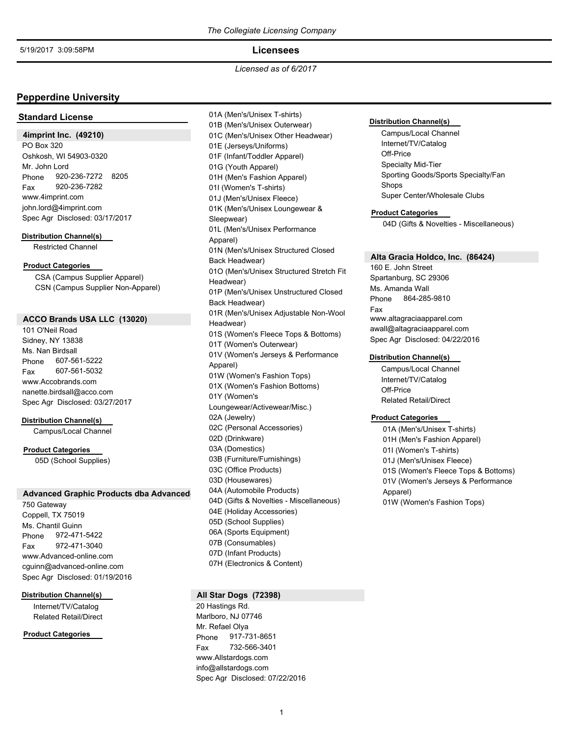### **Licensees**

*Licensed as of 6/2017*

## **Pepperdine University**

### **Standard License**

#### **4imprint Inc. (49210)**

PO Box 320 Oshkosh, WI 54903-0320 Phone 920-236-7272 8205 Mr. John Lord Fax 920-236-7282 www.4imprint.com john.lord@4imprint.com Spec Agr Disclosed: 03/17/2017

#### **Distribution Channel(s)**

Restricted Channel

## **Product Categories**

CSA (Campus Supplier Apparel) CSN (Campus Supplier Non-Apparel)

## **ACCO Brands USA LLC (13020)**

101 O'Neil Road Sidney, NY 13838 Phone 607-561-5222 Ms. Nan Birdsall Fax 607-561-5032 www.Accobrands.com nanette.birdsall@acco.com Spec Agr Disclosed: 03/27/2017

#### **Distribution Channel(s)**

Campus/Local Channel

#### **Product Categories**

05D (School Supplies)

#### **Advanced Graphic Products dba Advanced-**

750 Gateway Coppell, TX 75019 Phone 972-471-5422 Ms. Chantil Guinn Fax 972-471-3040 www.Advanced-online.com cguinn@advanced-online.com Spec Agr Disclosed: 01/19/2016

#### **Distribution Channel(s)**

Internet/TV/Catalog Related Retail/Direct

### **Product Categories**

01A (Men's/Unisex T-shirts) 01B (Men's/Unisex Outerwear) 01C (Men's/Unisex Other Headwear) 01E (Jerseys/Uniforms) 01F (Infant/Toddler Apparel) 01G (Youth Apparel) 01H (Men's Fashion Apparel) 01I (Women's T-shirts) 01J (Men's/Unisex Fleece) 01K (Men's/Unisex Loungewear & Sleepwear) 01L (Men's/Unisex Performance Apparel) 01N (Men's/Unisex Structured Closed Back Headwear) 01O (Men's/Unisex Structured Stretch Fit Headwear) 01P (Men's/Unisex Unstructured Closed Back Headwear) 01R (Men's/Unisex Adjustable Non-Wool Headwear) 01S (Women's Fleece Tops & Bottoms) 01T (Women's Outerwear) 01V (Women's Jerseys & Performance Apparel) 01W (Women's Fashion Tops) 01X (Women's Fashion Bottoms) 01Y (Women's Loungewear/Activewear/Misc.) 02A (Jewelry) 02C (Personal Accessories) 02D (Drinkware) 03A (Domestics) 03B (Furniture/Furnishings) 03C (Office Products) 03D (Housewares) 04A (Automobile Products) 04D (Gifts & Novelties - Miscellaneous) 04E (Holiday Accessories) 05D (School Supplies) 06A (Sports Equipment) 07B (Consumables) 07D (Infant Products) 07H (Electronics & Content)

## **All Star Dogs (72398)**

20 Hastings Rd. Marlboro, NJ 07746 Phone 917-731-8651 Mr. Refael Olya Fax 732-566-3401 www.Allstardogs.com info@allstardogs.com Spec Agr Disclosed: 07/22/2016

#### **Distribution Channel(s)**

Campus/Local Channel Internet/TV/Catalog Off-Price Specialty Mid-Tier Sporting Goods/Sports Specialty/Fan Shops Super Center/Wholesale Clubs

#### **Product Categories**

04D (Gifts & Novelties - Miscellaneous)

## **Alta Gracia Holdco, Inc. (86424)**

160 E. John Street Spartanburg, SC 29306 Phone 864-285-9810 Ms. Amanda Wall Fax www.altagraciaapparel.com awall@altagraciaapparel.com Spec Agr Disclosed: 04/22/2016

#### **Distribution Channel(s)**

Campus/Local Channel Internet/TV/Catalog Off-Price Related Retail/Direct

#### **Product Categories**

01A (Men's/Unisex T-shirts) 01H (Men's Fashion Apparel) 01I (Women's T-shirts) 01J (Men's/Unisex Fleece) 01S (Women's Fleece Tops & Bottoms) 01V (Women's Jerseys & Performance Apparel) 01W (Women's Fashion Tops)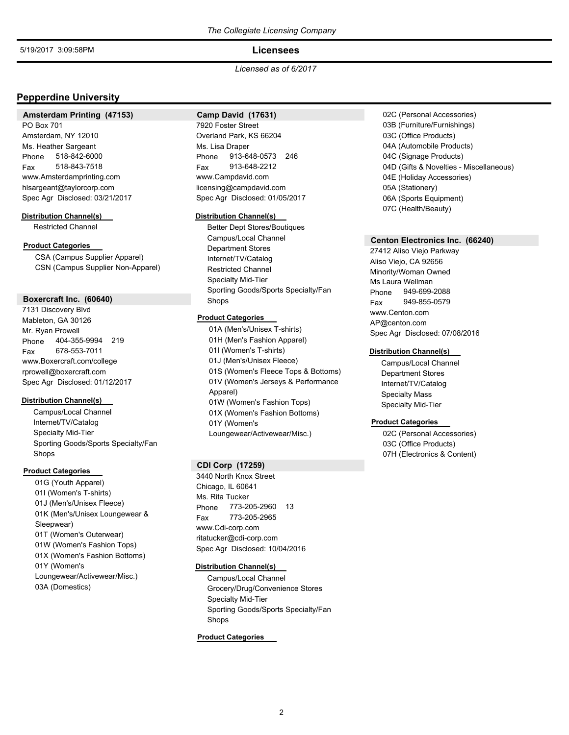## **Licensees**

*Licensed as of 6/2017*

## **Pepperdine University**

## **Amsterdam Printing (47153)**

PO Box 701 Amsterdam, NY 12010 Phone 518-842-6000 Ms. Heather Sargeant Fax 518-843-7518 www.Amsterdamprinting.com hlsargeant@taylorcorp.com Spec Agr Disclosed: 03/21/2017

#### **Distribution Channel(s)**

Restricted Channel

## **Product Categories**

CSA (Campus Supplier Apparel) CSN (Campus Supplier Non-Apparel)

#### **Boxercraft Inc. (60640)**

7131 Discovery Blvd Mableton, GA 30126 Phone 404-355-9994 219 Mr. Ryan Prowell Fax 678-553-7011 www.Boxercraft.com/college rprowell@boxercraft.com Spec Agr Disclosed: 01/12/2017

### **Distribution Channel(s)**

Campus/Local Channel Internet/TV/Catalog Specialty Mid-Tier Sporting Goods/Sports Specialty/Fan Shops

## **Product Categories**

01G (Youth Apparel) 01I (Women's T-shirts) 01J (Men's/Unisex Fleece) 01K (Men's/Unisex Loungewear & Sleepwear) 01T (Women's Outerwear) 01W (Women's Fashion Tops) 01X (Women's Fashion Bottoms) 01Y (Women's Loungewear/Activewear/Misc.) 03A (Domestics)

## **Camp David (17631)**

7920 Foster Street Overland Park, KS 66204 Phone 913-648-0573 246 Ms. Lisa Draper Fax 913-648-2212 www.Campdavid.com licensing@campdavid.com Spec Agr Disclosed: 01/05/2017

### **Distribution Channel(s)**

Better Dept Stores/Boutiques Campus/Local Channel Department Stores Internet/TV/Catalog Restricted Channel Specialty Mid-Tier Sporting Goods/Sports Specialty/Fan Shops

### **Product Categories**

01A (Men's/Unisex T-shirts) 01H (Men's Fashion Apparel) 01I (Women's T-shirts) 01J (Men's/Unisex Fleece) 01S (Women's Fleece Tops & Bottoms) 01V (Women's Jerseys & Performance Apparel) 01W (Women's Fashion Tops) 01X (Women's Fashion Bottoms) 01Y (Women's Loungewear/Activewear/Misc.)

### **CDI Corp (17259)**

3440 North Knox Street Chicago, IL 60641 Phone 773-205-2960 13 Ms. Rita Tucker Fax 773-205-2965 www.Cdi-corp.com ritatucker@cdi-corp.com Spec Agr Disclosed: 10/04/2016

## **Distribution Channel(s)**

Campus/Local Channel Grocery/Drug/Convenience Stores Specialty Mid-Tier Sporting Goods/Sports Specialty/Fan Shops

## **Product Categories**

02C (Personal Accessories) 03B (Furniture/Furnishings) 03C (Office Products) 04A (Automobile Products) 04C (Signage Products) 04D (Gifts & Novelties - Miscellaneous) 04E (Holiday Accessories) 05A (Stationery) 06A (Sports Equipment) 07C (Health/Beauty)

#### **Centon Electronics Inc. (66240)**

27412 Aliso Viejo Parkway Aliso Viejo, CA 92656 Minority/Woman Owned Phone 949-699-2088 Ms Laura Wellman Fax 949-855-0579 www.Centon.com AP@centon.com Spec Agr Disclosed: 07/08/2016

## **Distribution Channel(s)**

Campus/Local Channel Department Stores Internet/TV/Catalog Specialty Mass Specialty Mid-Tier

### **Product Categories**

02C (Personal Accessories) 03C (Office Products) 07H (Electronics & Content)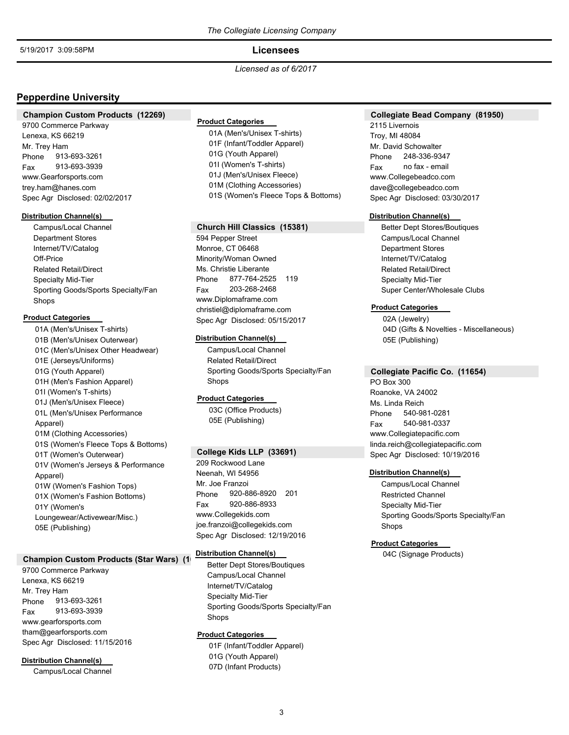## **Licensees**

*Licensed as of 6/2017*

## **Pepperdine University**

### **Champion Custom Products (12269)**

9700 Commerce Parkway Lenexa, KS 66219 Phone 913-693-3261 Mr. Trey Ham Fax 913-693-3939 www.Gearforsports.com trey.ham@hanes.com Spec Agr Disclosed: 02/02/2017

#### **Distribution Channel(s)**

Campus/Local Channel Department Stores Internet/TV/Catalog Off-Price Related Retail/Direct Specialty Mid-Tier Sporting Goods/Sports Specialty/Fan Shops

#### **Product Categories**

01A (Men's/Unisex T-shirts) 01B (Men's/Unisex Outerwear) 01C (Men's/Unisex Other Headwear) 01E (Jerseys/Uniforms) 01G (Youth Apparel) 01H (Men's Fashion Apparel) 01I (Women's T-shirts) 01J (Men's/Unisex Fleece) 01L (Men's/Unisex Performance Apparel) 01M (Clothing Accessories) 01S (Women's Fleece Tops & Bottoms) 01T (Women's Outerwear) 01V (Women's Jerseys & Performance Apparel) 01W (Women's Fashion Tops) 01X (Women's Fashion Bottoms) 01Y (Women's Loungewear/Activewear/Misc.) 05E (Publishing)

### **Champion Custom Products (Star Wars)** (1)

9700 Commerce Parkway Lenexa, KS 66219 Phone 913-693-3261 Mr. Trey Ham Fax 913-693-3939 www.gearforsports.com tham@gearforsports.com Spec Agr Disclosed: 11/15/2016

### **Distribution Channel(s)**

Campus/Local Channel

## **Product Categories**

01A (Men's/Unisex T-shirts) 01F (Infant/Toddler Apparel) 01G (Youth Apparel) 01I (Women's T-shirts) 01J (Men's/Unisex Fleece) 01M (Clothing Accessories) 01S (Women's Fleece Tops & Bottoms)

## **Church Hill Classics (15381)**

594 Pepper Street Monroe, CT 06468 Minority/Woman Owned Phone 877-764-2525 119 Ms. Christie Liberante Fax 203-268-2468 www.Diplomaframe.com christiel@diplomaframe.com Spec Agr Disclosed: 05/15/2017

#### **Distribution Channel(s)**

Campus/Local Channel Related Retail/Direct Sporting Goods/Sports Specialty/Fan Shops

### **Product Categories**

03C (Office Products) 05E (Publishing)

### **College Kids LLP (33691)**

209 Rockwood Lane Neenah, WI 54956 Phone 920-886-8920 201 Mr. Joe Franzoi Fax 920-886-8933 www.Collegekids.com joe.franzoi@collegekids.com Spec Agr Disclosed: 12/19/2016

## **Distribution Channel(s)**

Better Dept Stores/Boutiques Campus/Local Channel Internet/TV/Catalog Specialty Mid-Tier Sporting Goods/Sports Specialty/Fan Shops

### **Product Categories**

01F (Infant/Toddler Apparel) 01G (Youth Apparel) 07D (Infant Products)

## **Collegiate Bead Company (81950)**

2115 Livernois Troy, MI 48084 Phone 248-336-9347 Mr. David Schowalter Fax no fax - email www.Collegebeadco.com dave@collegebeadco.com Spec Agr Disclosed: 03/30/2017

#### **Distribution Channel(s)**

Better Dept Stores/Boutiques Campus/Local Channel Department Stores Internet/TV/Catalog Related Retail/Direct Specialty Mid-Tier Super Center/Wholesale Clubs

## **Product Categories**

02A (Jewelry) 04D (Gifts & Novelties - Miscellaneous) 05E (Publishing)

## **Collegiate Pacific Co. (11654)**

PO Box 300 Roanoke, VA 24002 Phone 540-981-0281 Ms. Linda Reich Fax 540-981-0337 www.Collegiatepacific.com linda.reich@collegiatepacific.com Spec Agr Disclosed: 10/19/2016

### **Distribution Channel(s)**

Campus/Local Channel Restricted Channel Specialty Mid-Tier Sporting Goods/Sports Specialty/Fan Shops

#### **Product Categories**

04C (Signage Products)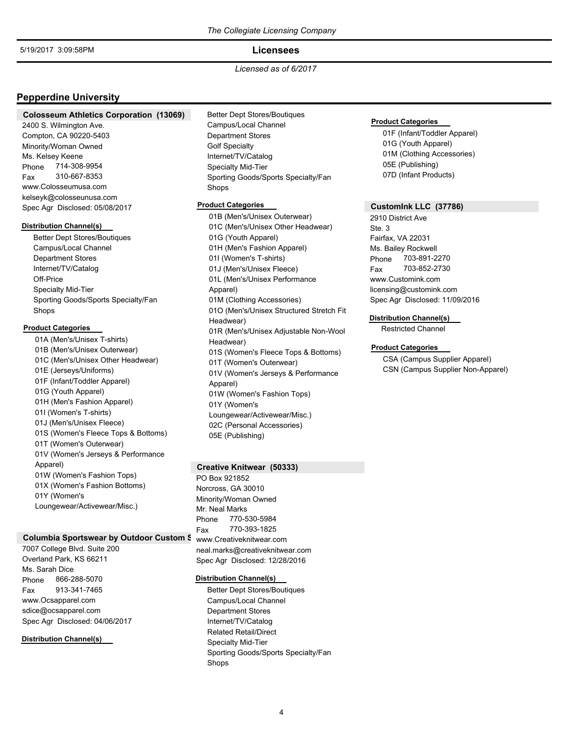## **Licensees**

*Licensed as of 6/2017*

## **Pepperdine University**

#### **Colosseum Athletics Corporation (13069)**

2400 S. Wilmington Ave. Compton, CA 90220-5403 Minority/Woman Owned Phone 714-308-9954 Ms. Kelsey Keene Fax 310-667-8353 www.Colosseumusa.com kelseyk@colosseunusa.com Spec Agr Disclosed: 05/08/2017

### **Distribution Channel(s)**

Better Dept Stores/Boutiques Campus/Local Channel Department Stores Internet/TV/Catalog Off-Price Specialty Mid-Tier Sporting Goods/Sports Specialty/Fan Shops

### **Product Categories**

01A (Men's/Unisex T-shirts) 01B (Men's/Unisex Outerwear) 01C (Men's/Unisex Other Headwear) 01E (Jerseys/Uniforms) 01F (Infant/Toddler Apparel) 01G (Youth Apparel) 01H (Men's Fashion Apparel) 01I (Women's T-shirts) 01J (Men's/Unisex Fleece) 01S (Women's Fleece Tops & Bottoms) 01T (Women's Outerwear) 01V (Women's Jerseys & Performance Apparel) 01W (Women's Fashion Tops) 01X (Women's Fashion Bottoms) 01Y (Women's Loungewear/Activewear/Misc.)

### **Columbia Sportswear by Outdoor Custom S**

7007 College Blvd. Suite 200 Overland Park, KS 66211 Phone 866-288-5070 Ms. Sarah Dice Fax 913-341-7465 www.Ocsapparel.com sdice@ocsapparel.com Spec Agr Disclosed: 04/06/2017

### **Distribution Channel(s)**

Better Dept Stores/Boutiques Campus/Local Channel Department Stores Golf Specialty Internet/TV/Catalog Specialty Mid-Tier Sporting Goods/Sports Specialty/Fan Shops

### **Product Categories**

01B (Men's/Unisex Outerwear) 01C (Men's/Unisex Other Headwear) 01G (Youth Apparel) 01H (Men's Fashion Apparel) 01I (Women's T-shirts) 01J (Men's/Unisex Fleece) 01L (Men's/Unisex Performance Apparel) 01M (Clothing Accessories) 01O (Men's/Unisex Structured Stretch Fit Headwear) 01R (Men's/Unisex Adjustable Non-Wool Headwear) 01S (Women's Fleece Tops & Bottoms) 01T (Women's Outerwear) 01V (Women's Jerseys & Performance Apparel) 01W (Women's Fashion Tops) 01Y (Women's Loungewear/Activewear/Misc.) 02C (Personal Accessories) 05E (Publishing)

### **Creative Knitwear (50333)**

PO Box 921852 Norcross, GA 30010 Minority/Woman Owned Phone 770-530-5984 Mr. Neal Marks Fax 770-393-1825 www.Creativeknitwear.com neal.marks@creativeknitwear.com Spec Agr Disclosed: 12/28/2016

#### **Distribution Channel(s)**

Better Dept Stores/Boutiques Campus/Local Channel Department Stores Internet/TV/Catalog Related Retail/Direct Specialty Mid-Tier Sporting Goods/Sports Specialty/Fan Shops

#### **Product Categories**

01F (Infant/Toddler Apparel) 01G (Youth Apparel) 01M (Clothing Accessories) 05E (Publishing) 07D (Infant Products)

### **CustomInk LLC (37786)**

2910 District Ave Ste. 3 Fairfax, VA 22031 Phone 703-891-2270 Ms. Bailey Rockwell Fax 703-852-2730 www.Customink.com licensing@customink.com Spec Agr Disclosed: 11/09/2016

## **Distribution Channel(s)**

Restricted Channel

## **Product Categories**

CSA (Campus Supplier Apparel) CSN (Campus Supplier Non-Apparel)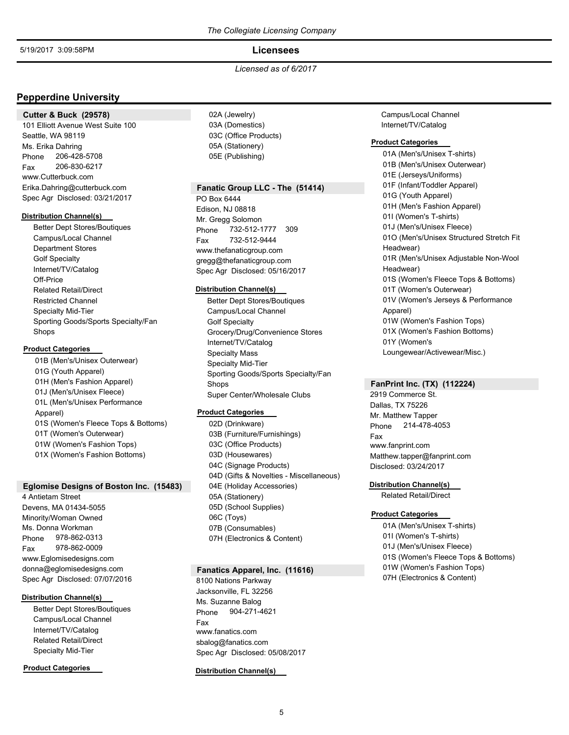## **Licensees**

*Licensed as of 6/2017*

## **Pepperdine University**

#### **Cutter & Buck (29578)**

101 Elliott Avenue West Suite 100 Seattle, WA 98119 Phone 206-428-5708 Ms. Erika Dahring Fax 206-830-6217 www.Cutterbuck.com Erika.Dahring@cutterbuck.com Spec Agr Disclosed: 03/21/2017

#### **Distribution Channel(s)**

Better Dept Stores/Boutiques Campus/Local Channel Department Stores Golf Specialty Internet/TV/Catalog Off-Price Related Retail/Direct Restricted Channel Specialty Mid-Tier Sporting Goods/Sports Specialty/Fan Shops

### **Product Categories**

01B (Men's/Unisex Outerwear) 01G (Youth Apparel) 01H (Men's Fashion Apparel) 01J (Men's/Unisex Fleece) 01L (Men's/Unisex Performance Apparel) 01S (Women's Fleece Tops & Bottoms) 01T (Women's Outerwear) 01W (Women's Fashion Tops) 01X (Women's Fashion Bottoms)

### **Eglomise Designs of Boston Inc. (15483)**

4 Antietam Street Devens, MA 01434-5055 Minority/Woman Owned Phone 978-862-0313 Ms. Donna Workman Fax 978-862-0009 www.Eglomisedesigns.com donna@eglomisedesigns.com Spec Agr Disclosed: 07/07/2016

### **Distribution Channel(s)**

Better Dept Stores/Boutiques Campus/Local Channel Internet/TV/Catalog Related Retail/Direct Specialty Mid-Tier

### **Product Categories**

02A (Jewelry) 03A (Domestics) 03C (Office Products) 05A (Stationery) 05E (Publishing)

### **Fanatic Group LLC - The (51414)**

PO Box 6444 Edison, NJ 08818 Phone 732-512-1777 309 Mr. Gregg Solomon Fax 732-512-9444 www.thefanaticgroup.com gregg@thefanaticgroup.com Spec Agr Disclosed: 05/16/2017

#### **Distribution Channel(s)**

Better Dept Stores/Boutiques Campus/Local Channel Golf Specialty Grocery/Drug/Convenience Stores Internet/TV/Catalog Specialty Mass Specialty Mid-Tier Sporting Goods/Sports Specialty/Fan Shops Super Center/Wholesale Clubs

## **Product Categories**

02D (Drinkware) 03B (Furniture/Furnishings) 03C (Office Products) 03D (Housewares) 04C (Signage Products) 04D (Gifts & Novelties - Miscellaneous) 04E (Holiday Accessories) 05A (Stationery) 05D (School Supplies) 06C (Toys) 07B (Consumables) 07H (Electronics & Content)

#### **Fanatics Apparel, Inc. (11616)**

8100 Nations Parkway Jacksonville, FL 32256 Phone 904-271-4621 Ms. Suzanne Balog Fax www.fanatics.com sbalog@fanatics.com Spec Agr Disclosed: 05/08/2017

#### **Distribution Channel(s)**

Campus/Local Channel Internet/TV/Catalog

#### **Product Categories**

01A (Men's/Unisex T-shirts) 01B (Men's/Unisex Outerwear) 01E (Jerseys/Uniforms) 01F (Infant/Toddler Apparel) 01G (Youth Apparel) 01H (Men's Fashion Apparel) 01I (Women's T-shirts) 01J (Men's/Unisex Fleece) 01O (Men's/Unisex Structured Stretch Fit Headwear) 01R (Men's/Unisex Adjustable Non-Wool Headwear) 01S (Women's Fleece Tops & Bottoms) 01T (Women's Outerwear) 01V (Women's Jerseys & Performance Apparel) 01W (Women's Fashion Tops) 01X (Women's Fashion Bottoms) 01Y (Women's Loungewear/Activewear/Misc.)

## **FanPrint Inc. (TX) (112224)**

2919 Commerce St. Dallas, TX 75226 Phone 214-478-4053 Mr. Matthew Tapper Fax www.fanprint.com Matthew.tapper@fanprint.com Disclosed: 03/24/2017

#### **Distribution Channel(s)**

Related Retail/Direct

### **Product Categories**

01A (Men's/Unisex T-shirts) 01I (Women's T-shirts) 01J (Men's/Unisex Fleece) 01S (Women's Fleece Tops & Bottoms) 01W (Women's Fashion Tops) 07H (Electronics & Content)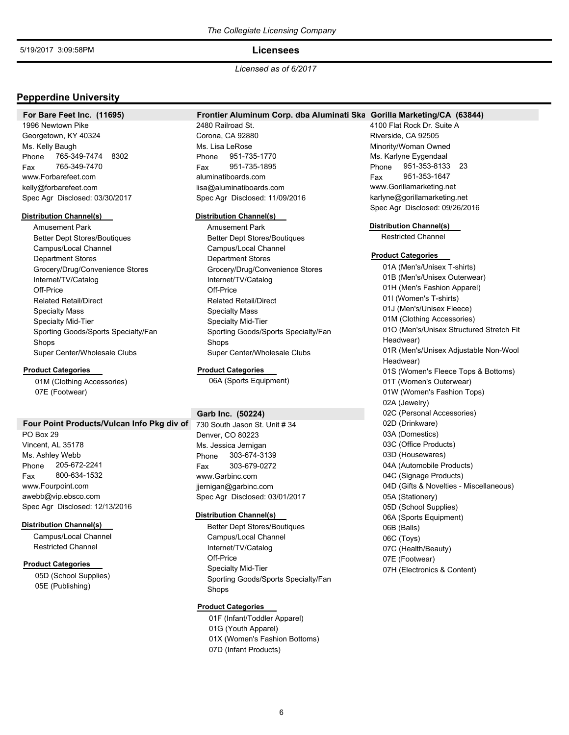### **Licensees**

*Licensed as of 6/2017*

## **Pepperdine University**

**For Bare Feet Inc. (11695)**

### Frontier Aluminum Corp. dba Aluminati Ska Gorilla Marketing/CA (63844)

1996 Newtown Pike Georgetown, KY 40324 Phone 765-349-7474 8302 Ms. Kelly Baugh Fax 765-349-7470 www.Forbarefeet.com kelly@forbarefeet.com Spec Agr Disclosed: 03/30/2017

## **Distribution Channel(s)**

Amusement Park Better Dept Stores/Boutiques Campus/Local Channel Department Stores Grocery/Drug/Convenience Stores Internet/TV/Catalog Off-Price Related Retail/Direct Specialty Mass Specialty Mid-Tier Sporting Goods/Sports Specialty/Fan Shops Super Center/Wholesale Clubs

#### **Product Categories**

01M (Clothing Accessories) 07E (Footwear)

#### Four Point Products/Vulcan Info Pkg div of

PO Box 29 Vincent, AL 35178 Phone 205-672-2241 Ms. Ashley Webb Fax 800-634-1532 www.Fourpoint.com awebb@vip.ebsco.com Spec Agr Disclosed: 12/13/2016

#### **Distribution Channel(s)**

Campus/Local Channel Restricted Channel

### **Product Categories**

05D (School Supplies) 05E (Publishing)

2480 Railroad St. Corona, CA 92880 Phone 951-735-1770 Ms. Lisa LeRose Fax 951-735-1895 aluminatiboards.com lisa@aluminatiboards.com Spec Agr Disclosed: 11/09/2016

#### **Distribution Channel(s)**

Amusement Park Better Dept Stores/Boutiques Campus/Local Channel Department Stores Grocery/Drug/Convenience Stores Internet/TV/Catalog Off-Price Related Retail/Direct Specialty Mass Specialty Mid-Tier Sporting Goods/Sports Specialty/Fan Shops Super Center/Wholesale Clubs

### **Product Categories**

06A (Sports Equipment)

## **Garb Inc. (50224)**

730 South Jason St. Unit # 34 Denver, CO 80223 Phone 303-674-3139 Ms. Jessica Jernigan Fax 303-679-0272 www.Garbinc.com jjernigan@garbinc.com Spec Agr Disclosed: 03/01/2017

#### **Distribution Channel(s)**

Better Dept Stores/Boutiques Campus/Local Channel Internet/TV/Catalog Off-Price Specialty Mid-Tier Sporting Goods/Sports Specialty/Fan Shops

### **Product Categories**

01F (Infant/Toddler Apparel) 01G (Youth Apparel) 01X (Women's Fashion Bottoms) 07D (Infant Products)

4100 Flat Rock Dr. Suite A Riverside, CA 92505 Minority/Woman Owned Phone 951-353-8133 23 Ms. Karlyne Eygendaal Fax 951-353-1647 www.Gorillamarketing.net karlyne@gorillamarketing.net Spec Agr Disclosed: 09/26/2016

#### **Distribution Channel(s)**

Restricted Channel

### **Product Categories**

01A (Men's/Unisex T-shirts) 01B (Men's/Unisex Outerwear) 01H (Men's Fashion Apparel) 01I (Women's T-shirts) 01J (Men's/Unisex Fleece) 01M (Clothing Accessories) 01O (Men's/Unisex Structured Stretch Fit Headwear) 01R (Men's/Unisex Adjustable Non-Wool Headwear) 01S (Women's Fleece Tops & Bottoms) 01T (Women's Outerwear) 01W (Women's Fashion Tops) 02A (Jewelry) 02C (Personal Accessories) 02D (Drinkware) 03A (Domestics) 03C (Office Products) 03D (Housewares) 04A (Automobile Products) 04C (Signage Products) 04D (Gifts & Novelties - Miscellaneous) 05A (Stationery) 05D (School Supplies) 06A (Sports Equipment) 06B (Balls) 06C (Toys) 07C (Health/Beauty) 07E (Footwear) 07H (Electronics & Content)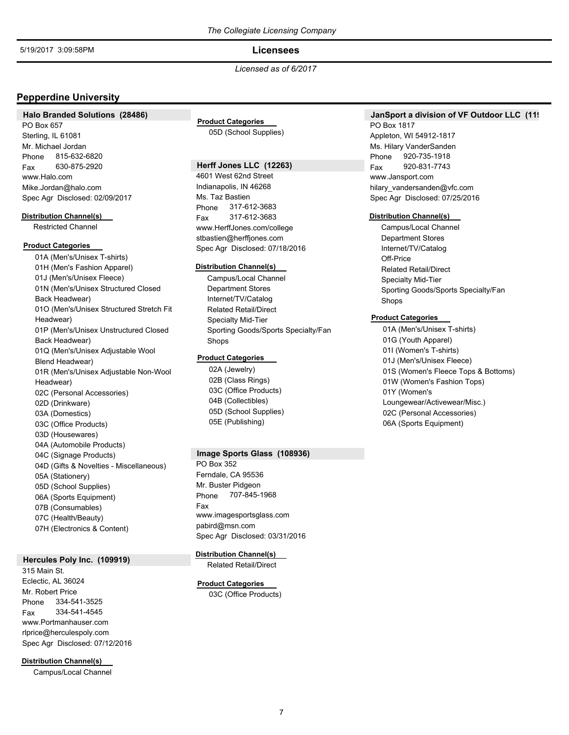## **Licensees**

## *Licensed as of 6/2017*

## **Pepperdine University**

### **Halo Branded Solutions (28486)**

PO Box 657 Sterling, IL 61081 Phone 815-632-6820 Mr. Michael Jordan Fax 630-875-2920 www.Halo.com Mike.Jordan@halo.com Spec Agr Disclosed: 02/09/2017

#### **Distribution Channel(s)**

Restricted Channel

### **Product Categories**

01A (Men's/Unisex T-shirts) 01H (Men's Fashion Apparel) 01J (Men's/Unisex Fleece) 01N (Men's/Unisex Structured Closed Back Headwear) 01O (Men's/Unisex Structured Stretch Fit Headwear) 01P (Men's/Unisex Unstructured Closed Back Headwear) 01Q (Men's/Unisex Adjustable Wool Blend Headwear) 01R (Men's/Unisex Adjustable Non-Wool Headwear) 02C (Personal Accessories) 02D (Drinkware) 03A (Domestics) 03C (Office Products) 03D (Housewares) 04A (Automobile Products) 04C (Signage Products) 04D (Gifts & Novelties - Miscellaneous) 05A (Stationery) 05D (School Supplies) 06A (Sports Equipment) 07B (Consumables) 07C (Health/Beauty) 07H (Electronics & Content)

### **Hercules Poly Inc. (109919)**

315 Main St. Eclectic, AL 36024 Phone 334-541-3525 Mr. Robert Price Fax 334-541-4545 www.Portmanhauser.com rlprice@herculespoly.com Spec Agr Disclosed: 07/12/2016

**Distribution Channel(s)**

Campus/Local Channel

# **Product Categories**

05D (School Supplies)

## **Herff Jones LLC (12263)**

4601 West 62nd Street Indianapolis, IN 46268 Phone 317-612-3683 Ms. Taz Bastien Fax 317-612-3683 www.HerffJones.com/college stbastien@herffjones.com Spec Agr Disclosed: 07/18/2016

#### **Distribution Channel(s)**

Campus/Local Channel Department Stores Internet/TV/Catalog Related Retail/Direct Specialty Mid-Tier Sporting Goods/Sports Specialty/Fan Shops

### **Product Categories**

02A (Jewelry) 02B (Class Rings) 03C (Office Products) 04B (Collectibles) 05D (School Supplies) 05E (Publishing)

### **Image Sports Glass (108936)**

PO Box 352 Ferndale, CA 95536 Phone 707-845-1968 Mr. Buster Pidgeon Fax www.imagesportsglass.com pabird@msn.com Spec Agr Disclosed: 03/31/2016

## **Distribution Channel(s)**

Related Retail/Direct

## **Product Categories**

03C (Office Products)

## **JanSport a division of VF Outdoor LLC (119)**

PO Box 1817 Appleton, WI 54912-1817 Phone 920-735-1918 Ms. Hilary VanderSanden Fax 920-831-7743 www.Jansport.com hilary\_vandersanden@vfc.com Spec Agr Disclosed: 07/25/2016

#### **Distribution Channel(s)**

Campus/Local Channel Department Stores Internet/TV/Catalog Off-Price Related Retail/Direct Specialty Mid-Tier Sporting Goods/Sports Specialty/Fan Shops

## **Product Categories**

01A (Men's/Unisex T-shirts) 01G (Youth Apparel) 01I (Women's T-shirts) 01J (Men's/Unisex Fleece) 01S (Women's Fleece Tops & Bottoms) 01W (Women's Fashion Tops) 01Y (Women's Loungewear/Activewear/Misc.) 02C (Personal Accessories) 06A (Sports Equipment)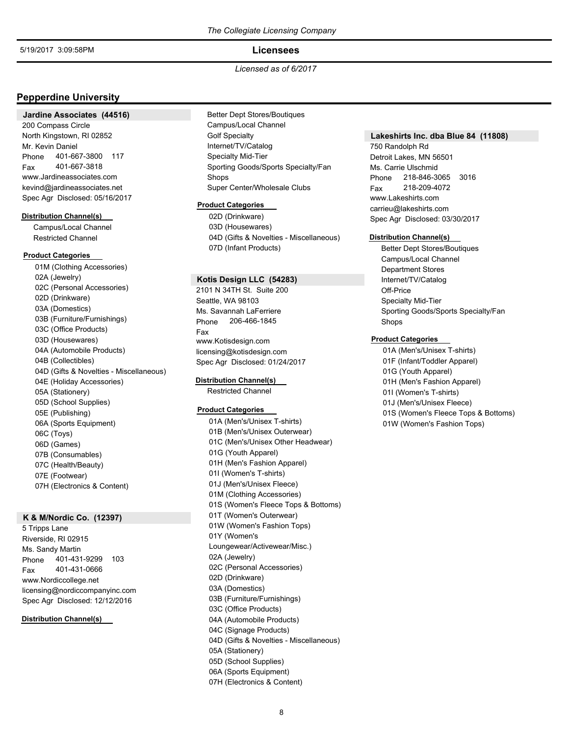### **Licensees**

### *Licensed as of 6/2017*

## **Pepperdine University**

#### **Jardine Associates (44516)**

200 Compass Circle North Kingstown, RI 02852 Phone 401-667-3800 117 Mr. Kevin Daniel Fax 401-667-3818 www.Jardineassociates.com kevind@jardineassociates.net Spec Agr Disclosed: 05/16/2017

#### **Distribution Channel(s)**

Campus/Local Channel Restricted Channel

### **Product Categories**

01M (Clothing Accessories) 02A (Jewelry) 02C (Personal Accessories) 02D (Drinkware) 03A (Domestics) 03B (Furniture/Furnishings) 03C (Office Products) 03D (Housewares) 04A (Automobile Products) 04B (Collectibles) 04D (Gifts & Novelties - Miscellaneous) 04E (Holiday Accessories) 05A (Stationery) 05D (School Supplies) 05E (Publishing) 06A (Sports Equipment) 06C (Toys) 06D (Games) 07B (Consumables) 07C (Health/Beauty) 07E (Footwear) 07H (Electronics & Content)

## **K & M/Nordic Co. (12397)**

5 Tripps Lane Riverside, RI 02915 Phone 401-431-9299 103 Ms. Sandy Martin Fax 401-431-0666 www.Nordiccollege.net licensing@nordiccompanyinc.com Spec Agr Disclosed: 12/12/2016

### **Distribution Channel(s)**

Better Dept Stores/Boutiques Campus/Local Channel Golf Specialty Internet/TV/Catalog Specialty Mid-Tier Sporting Goods/Sports Specialty/Fan Shops Super Center/Wholesale Clubs

#### **Product Categories**

02D (Drinkware) 03D (Housewares) 04D (Gifts & Novelties - Miscellaneous) 07D (Infant Products)

## **Kotis Design LLC (54283)**

2101 N 34TH St. Suite 200 Seattle, WA 98103 Phone 206-466-1845 Ms. Savannah LaFerriere Fax www.Kotisdesign.com licensing@kotisdesign.com Spec Agr Disclosed: 01/24/2017

### **Distribution Channel(s)**

Restricted Channel

### **Product Categories**

01A (Men's/Unisex T-shirts) 01B (Men's/Unisex Outerwear) 01C (Men's/Unisex Other Headwear) 01G (Youth Apparel) 01H (Men's Fashion Apparel) 01I (Women's T-shirts) 01J (Men's/Unisex Fleece) 01M (Clothing Accessories) 01S (Women's Fleece Tops & Bottoms) 01T (Women's Outerwear) 01W (Women's Fashion Tops) 01Y (Women's Loungewear/Activewear/Misc.) 02A (Jewelry) 02C (Personal Accessories) 02D (Drinkware) 03A (Domestics) 03B (Furniture/Furnishings) 03C (Office Products) 04A (Automobile Products) 04C (Signage Products) 04D (Gifts & Novelties - Miscellaneous) 05A (Stationery) 05D (School Supplies) 06A (Sports Equipment) 07H (Electronics & Content)

#### **Lakeshirts Inc. dba Blue 84 (11808)**

750 Randolph Rd Detroit Lakes, MN 56501 Phone 218-846-3065 3016 Ms. Carrie Ulschmid Fax 218-209-4072 www.Lakeshirts.com carrieu@lakeshirts.com Spec Agr Disclosed: 03/30/2017

#### **Distribution Channel(s)**

Better Dept Stores/Boutiques Campus/Local Channel Department Stores Internet/TV/Catalog Off-Price Specialty Mid-Tier Sporting Goods/Sports Specialty/Fan Shops

#### **Product Categories**

01A (Men's/Unisex T-shirts) 01F (Infant/Toddler Apparel) 01G (Youth Apparel) 01H (Men's Fashion Apparel) 01I (Women's T-shirts) 01J (Men's/Unisex Fleece) 01S (Women's Fleece Tops & Bottoms) 01W (Women's Fashion Tops)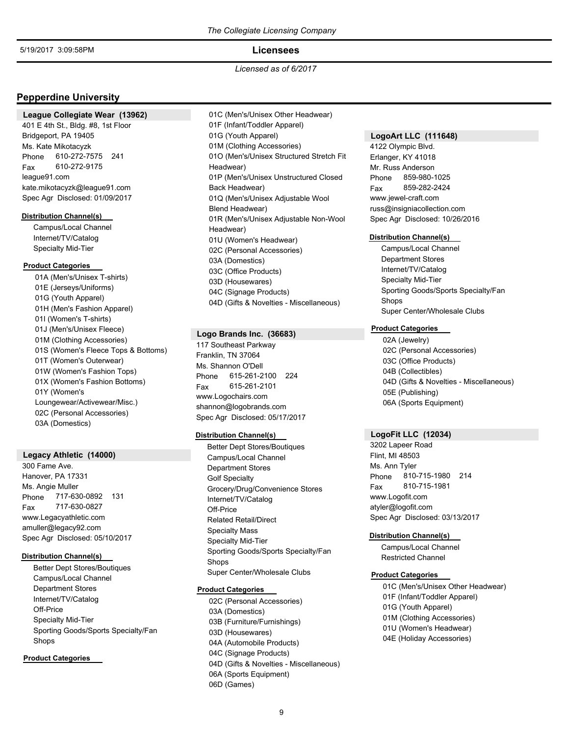### **Licensees**

*Licensed as of 6/2017*

## **Pepperdine University**

#### **League Collegiate Wear (13962)**

401 E 4th St., Bldg. #8, 1st Floor Bridgeport, PA 19405 Phone 610-272-7575 241 Ms. Kate Mikotacyzk Fax 610-272-9175 league91.com kate.mikotacyzk@league91.com Spec Agr Disclosed: 01/09/2017

#### **Distribution Channel(s)**

Campus/Local Channel Internet/TV/Catalog Specialty Mid-Tier

### **Product Categories**

01A (Men's/Unisex T-shirts) 01E (Jerseys/Uniforms) 01G (Youth Apparel) 01H (Men's Fashion Apparel) 01I (Women's T-shirts) 01J (Men's/Unisex Fleece) 01M (Clothing Accessories) 01S (Women's Fleece Tops & Bottoms) 01T (Women's Outerwear) 01W (Women's Fashion Tops) 01X (Women's Fashion Bottoms) 01Y (Women's Loungewear/Activewear/Misc.) 02C (Personal Accessories) 03A (Domestics)

## **Legacy Athletic (14000)**

300 Fame Ave. Hanover, PA 17331 Phone 717-630-0892 131 Ms. Angie Muller Fax 717-630-0827 www.Legacyathletic.com amuller@legacy92.com Spec Agr Disclosed: 05/10/2017

## **Distribution Channel(s)**

Better Dept Stores/Boutiques Campus/Local Channel Department Stores Internet/TV/Catalog Off-Price Specialty Mid-Tier Sporting Goods/Sports Specialty/Fan Shops

#### **Product Categories**

01C (Men's/Unisex Other Headwear) 01F (Infant/Toddler Apparel) 01G (Youth Apparel) 01M (Clothing Accessories) 01O (Men's/Unisex Structured Stretch Fit Headwear) 01P (Men's/Unisex Unstructured Closed Back Headwear) 01Q (Men's/Unisex Adjustable Wool Blend Headwear) 01R (Men's/Unisex Adjustable Non-Wool Headwear) 01U (Women's Headwear) 02C (Personal Accessories) 03A (Domestics) 03C (Office Products) 03D (Housewares) 04C (Signage Products) 04D (Gifts & Novelties - Miscellaneous)

### **Logo Brands Inc. (36683)**

117 Southeast Parkway Franklin, TN 37064 Phone 615-261-2100 224 Ms. Shannon O'Dell Fax 615-261-2101 www.Logochairs.com shannon@logobrands.com Spec Agr Disclosed: 05/17/2017

#### **Distribution Channel(s)**

Better Dept Stores/Boutiques Campus/Local Channel Department Stores Golf Specialty Grocery/Drug/Convenience Stores Internet/TV/Catalog Off-Price Related Retail/Direct Specialty Mass Specialty Mid-Tier Sporting Goods/Sports Specialty/Fan Shops Super Center/Wholesale Clubs

#### **Product Categories**

02C (Personal Accessories) 03A (Domestics) 03B (Furniture/Furnishings) 03D (Housewares) 04A (Automobile Products) 04C (Signage Products) 04D (Gifts & Novelties - Miscellaneous) 06A (Sports Equipment) 06D (Games)

## **LogoArt LLC (111648)**

4122 Olympic Blvd. Erlanger, KY 41018 Phone 859-980-1025 Mr. Russ Anderson Fax 859-282-2424 www.jewel-craft.com russ@insigniacollection.com Spec Agr Disclosed: 10/26/2016

#### **Distribution Channel(s)**

Campus/Local Channel Department Stores Internet/TV/Catalog Specialty Mid-Tier Sporting Goods/Sports Specialty/Fan Shops Super Center/Wholesale Clubs

## **Product Categories**

02A (Jewelry) 02C (Personal Accessories) 03C (Office Products) 04B (Collectibles) 04D (Gifts & Novelties - Miscellaneous) 05E (Publishing) 06A (Sports Equipment)

### **LogoFit LLC (12034)**

3202 Lapeer Road Flint, MI 48503 Phone 810-715-1980 214 Ms. Ann Tyler Fax 810-715-1981 www.Logofit.com atyler@logofit.com Spec Agr Disclosed: 03/13/2017

### **Distribution Channel(s)**

Campus/Local Channel Restricted Channel

## **Product Categories**

01C (Men's/Unisex Other Headwear) 01F (Infant/Toddler Apparel) 01G (Youth Apparel) 01M (Clothing Accessories) 01U (Women's Headwear) 04E (Holiday Accessories)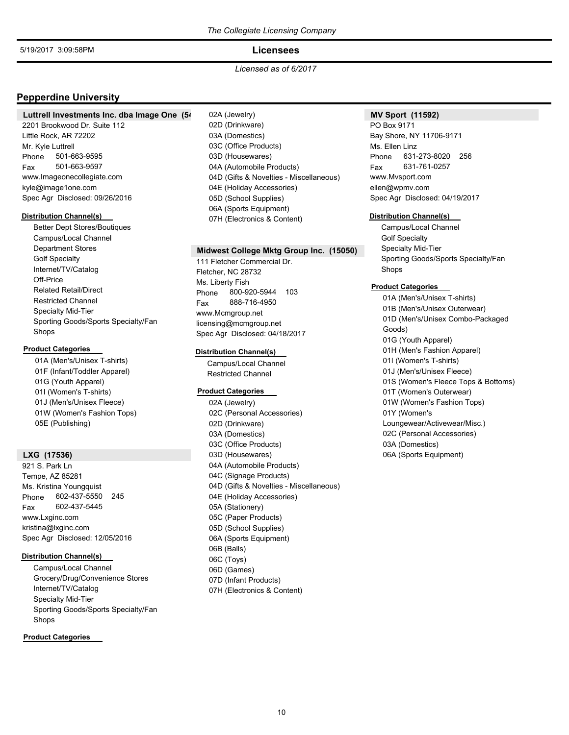## **Licensees**

### *Licensed as of 6/2017*

## **Pepperdine University**

### Luttrell Investments Inc. dba Image One (54)

2201 Brookwood Dr. Suite 112 Little Rock, AR 72202 Phone 501-663-9595 Mr. Kyle Luttrell Fax 501-663-9597 www.Imageonecollegiate.com kyle@image1one.com Spec Agr Disclosed: 09/26/2016

#### **Distribution Channel(s)**

Better Dept Stores/Boutiques Campus/Local Channel Department Stores Golf Specialty Internet/TV/Catalog Off-Price Related Retail/Direct Restricted Channel Specialty Mid-Tier Sporting Goods/Sports Specialty/Fan Shops

### **Product Categories**

01A (Men's/Unisex T-shirts) 01F (Infant/Toddler Apparel) 01G (Youth Apparel) 01I (Women's T-shirts) 01J (Men's/Unisex Fleece) 01W (Women's Fashion Tops) 05E (Publishing)

## **LXG (17536)**

921 S. Park Ln Tempe, AZ 85281 Phone 602-437-5550 245 Ms. Kristina Youngquist Fax 602-437-5445 www.Lxginc.com kristina@lxginc.com Spec Agr Disclosed: 12/05/2016

## **Distribution Channel(s)**

Campus/Local Channel Grocery/Drug/Convenience Stores Internet/TV/Catalog Specialty Mid-Tier Sporting Goods/Sports Specialty/Fan Shops

## **Product Categories**

02A (Jewelry) 02D (Drinkware) 03A (Domestics) 03C (Office Products) 03D (Housewares) 04A (Automobile Products) 04D (Gifts & Novelties - Miscellaneous) 04E (Holiday Accessories) 05D (School Supplies) 06A (Sports Equipment) 07H (Electronics & Content)

### **Midwest College Mktg Group Inc. (15050)**

111 Fletcher Commercial Dr. Fletcher, NC 28732 Phone 800-920-5944 103 Ms. Liberty Fish Fax 888-716-4950 www.Mcmgroup.net licensing@mcmgroup.net Spec Agr Disclosed: 04/18/2017

## **Distribution Channel(s)**

Campus/Local Channel Restricted Channel

## **Product Categories**

02A (Jewelry) 02C (Personal Accessories) 02D (Drinkware) 03A (Domestics) 03C (Office Products) 03D (Housewares) 04A (Automobile Products) 04C (Signage Products) 04D (Gifts & Novelties - Miscellaneous) 04E (Holiday Accessories) 05A (Stationery) 05C (Paper Products) 05D (School Supplies) 06A (Sports Equipment) 06B (Balls) 06C (Toys) 06D (Games) 07D (Infant Products) 07H (Electronics & Content)

## **MV Sport (11592)**

PO Box 9171 Bay Shore, NY 11706-9171 Phone 631-273-8020 256 Ms. Ellen Linz Fax 631-761-0257 www.Mvsport.com ellen@wpmv.com Spec Agr Disclosed: 04/19/2017

#### **Distribution Channel(s)**

Campus/Local Channel Golf Specialty Specialty Mid-Tier Sporting Goods/Sports Specialty/Fan Shops

## **Product Categories**

01A (Men's/Unisex T-shirts) 01B (Men's/Unisex Outerwear) 01D (Men's/Unisex Combo-Packaged Goods) 01G (Youth Apparel) 01H (Men's Fashion Apparel) 01I (Women's T-shirts) 01J (Men's/Unisex Fleece) 01S (Women's Fleece Tops & Bottoms) 01T (Women's Outerwear) 01W (Women's Fashion Tops) 01Y (Women's Loungewear/Activewear/Misc.) 02C (Personal Accessories) 03A (Domestics) 06A (Sports Equipment)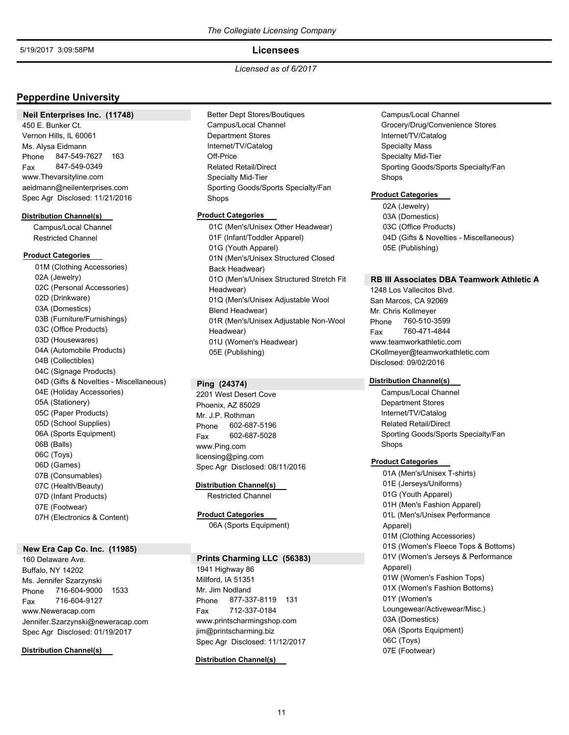## **Licensees**

*Licensed as of 6/2017*

## **Pepperdine University**

### **Neil Enterprises Inc. (11748)**

450 E. Bunker Ct. Vernon Hills, IL 60061 Phone 847-549-7627 163 Ms. Alysa Eidmann Fax 847-549-0349 www.Thevarsityline.com aeidmann@neilenterprises.com Spec Agr Disclosed: 11/21/2016

#### **Distribution Channel(s)**

Campus/Local Channel Restricted Channel

## **Product Categories**

01M (Clothing Accessories) 02A (Jewelry) 02C (Personal Accessories) 02D (Drinkware) 03A (Domestics) 03B (Furniture/Furnishings) 03C (Office Products) 03D (Housewares) 04A (Automobile Products) 04B (Collectibles) 04C (Signage Products) 04D (Gifts & Novelties - Miscellaneous) 04E (Holiday Accessories) 05A (Stationery) 05C (Paper Products) 05D (School Supplies) 06A (Sports Equipment) 06B (Balls) 06C (Toys) 06D (Games) 07B (Consumables) 07C (Health/Beauty) 07D (Infant Products) 07E (Footwear) 07H (Electronics & Content)

## **New Era Cap Co. Inc. (11985)**

160 Delaware Ave. Buffalo, NY 14202 Phone 716-604-9000 1533 Ms. Jennifer Szarzynski Fax 716-604-9127 www.Neweracap.com Jennifer.Szarzynski@neweracap.com Spec Agr Disclosed: 01/19/2017

### **Distribution Channel(s)**

Better Dept Stores/Boutiques Campus/Local Channel Department Stores Internet/TV/Catalog Off-Price Related Retail/Direct Specialty Mid-Tier Sporting Goods/Sports Specialty/Fan Shops

### **Product Categories**

01C (Men's/Unisex Other Headwear) 01F (Infant/Toddler Apparel) 01G (Youth Apparel) 01N (Men's/Unisex Structured Closed Back Headwear) 01O (Men's/Unisex Structured Stretch Fit Headwear) 01Q (Men's/Unisex Adjustable Wool Blend Headwear) 01R (Men's/Unisex Adjustable Non-Wool Headwear) 01U (Women's Headwear) 05E (Publishing)

### **Ping (24374)**

2201 West Desert Cove Phoenix, AZ 85029 Phone 602-687-5196 Mr. J.P. Rothman Fax 602-687-5028 www.Ping.com licensing@ping.com Spec Agr Disclosed: 08/11/2016

**Distribution Channel(s)**

Restricted Channel

06A (Sports Equipment) **Product Categories**

#### **Prints Charming LLC (56383)**

1941 Highway 86 Millford, IA 51351 Phone 877-337-8119 131 Mr. Jim Nodland Fax 712-337-0184 www.printscharmingshop.com jim@printscharming.biz Spec Agr Disclosed: 11/12/2017

**Distribution Channel(s)**

## Campus/Local Channel Grocery/Drug/Convenience Stores Internet/TV/Catalog Specialty Mass Specialty Mid-Tier Sporting Goods/Sports Specialty/Fan Shops

### **Product Categories**

02A (Jewelry) 03A (Domestics) 03C (Office Products) 04D (Gifts & Novelties - Miscellaneous) 05E (Publishing)

## **RB III Associates DBA Teamwork Athletic A**

1248 Los Vallecitos Blvd. San Marcos, CA 92069 Phone 760-510-3599 Mr. Chris Kollmeyer Fax 760-471-4844 www.teamworkathletic.com CKollmeyer@teamworkathletic.com Disclosed: 09/02/2016

### **Distribution Channel(s)**

Campus/Local Channel Department Stores Internet/TV/Catalog Related Retail/Direct Sporting Goods/Sports Specialty/Fan Shops

#### **Product Categories**

01A (Men's/Unisex T-shirts) 01E (Jerseys/Uniforms) 01G (Youth Apparel) 01H (Men's Fashion Apparel) 01L (Men's/Unisex Performance Apparel) 01M (Clothing Accessories) 01S (Women's Fleece Tops & Bottoms) 01V (Women's Jerseys & Performance Apparel) 01W (Women's Fashion Tops) 01X (Women's Fashion Bottoms) 01Y (Women's Loungewear/Activewear/Misc.) 03A (Domestics) 06A (Sports Equipment) 06C (Toys) 07E (Footwear)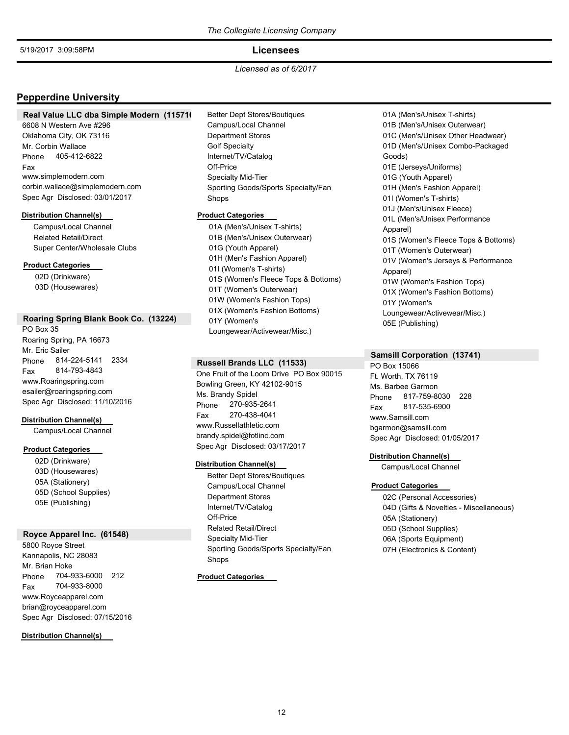## **Licensees**

*Licensed as of 6/2017*

## **Pepperdine University**

#### **Real Value LLC dba Simple Modern (115716)**

6608 N Western Ave #296 Oklahoma City, OK 73116 Phone 405-412-6822 Mr. Corbin Wallace Fax www.simplemodern.com corbin.wallace@simplemodern.com Spec Agr Disclosed: 03/01/2017

#### **Distribution Channel(s)**

Campus/Local Channel Related Retail/Direct Super Center/Wholesale Clubs

## **Product Categories**

02D (Drinkware) 03D (Housewares)

## **Roaring Spring Blank Book Co. (13224)**

PO Box 35 Roaring Spring, PA 16673 Phone 814-224-5141 2334 Mr. Eric Sailer Fax 814-793-4843 www.Roaringspring.com esailer@roaringspring.com Spec Agr Disclosed: 11/10/2016

#### **Distribution Channel(s)**

Campus/Local Channel

## **Product Categories**

02D (Drinkware) 03D (Housewares) 05A (Stationery) 05D (School Supplies) 05E (Publishing)

#### **Royce Apparel Inc. (61548)**

5800 Royce Street Kannapolis, NC 28083 Phone 704-933-6000 212 Mr. Brian Hoke Fax 704-933-8000 www.Royceapparel.com brian@royceapparel.com Spec Agr Disclosed: 07/15/2016

**Distribution Channel(s)**

## Better Dept Stores/Boutiques Campus/Local Channel Department Stores Golf Specialty Internet/TV/Catalog Off-Price Specialty Mid-Tier Sporting Goods/Sports Specialty/Fan Shops

### **Product Categories**

01A (Men's/Unisex T-shirts) 01B (Men's/Unisex Outerwear) 01G (Youth Apparel) 01H (Men's Fashion Apparel) 01I (Women's T-shirts) 01S (Women's Fleece Tops & Bottoms) 01T (Women's Outerwear) 01W (Women's Fashion Tops) 01X (Women's Fashion Bottoms) 01Y (Women's Loungewear/Activewear/Misc.)

### **Russell Brands LLC (11533)**

One Fruit of the Loom Drive PO Box 90015 Bowling Green, KY 42102-9015 Phone 270-935-2641 Ms. Brandy Spidel Fax 270-438-4041 www.Russellathletic.com brandy.spidel@fotlinc.com Spec Agr Disclosed: 03/17/2017

#### **Distribution Channel(s)**

Better Dept Stores/Boutiques Campus/Local Channel Department Stores Internet/TV/Catalog Off-Price Related Retail/Direct Specialty Mid-Tier Sporting Goods/Sports Specialty/Fan Shops

**Product Categories**

01A (Men's/Unisex T-shirts) 01B (Men's/Unisex Outerwear) 01C (Men's/Unisex Other Headwear) 01D (Men's/Unisex Combo-Packaged Goods) 01E (Jerseys/Uniforms) 01G (Youth Apparel) 01H (Men's Fashion Apparel) 01I (Women's T-shirts) 01J (Men's/Unisex Fleece) 01L (Men's/Unisex Performance Apparel) 01S (Women's Fleece Tops & Bottoms) 01T (Women's Outerwear) 01V (Women's Jerseys & Performance Apparel) 01W (Women's Fashion Tops) 01X (Women's Fashion Bottoms) 01Y (Women's Loungewear/Activewear/Misc.) 05E (Publishing)

### **Samsill Corporation (13741)**

PO Box 15066 Ft. Worth, TX 76119 Phone 817-759-8030 228 Ms. Barbee Garmon Fax 817-535-6900 www.Samsill.com bgarmon@samsill.com Spec Agr Disclosed: 01/05/2017

### **Distribution Channel(s)**

Campus/Local Channel

#### **Product Categories**

02C (Personal Accessories) 04D (Gifts & Novelties - Miscellaneous) 05A (Stationery) 05D (School Supplies) 06A (Sports Equipment) 07H (Electronics & Content)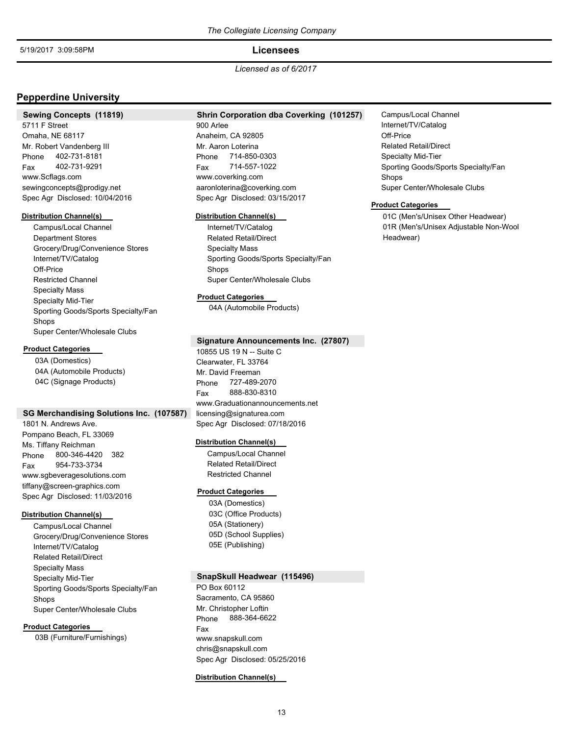### **Licensees**

*Licensed as of 6/2017*

## **Pepperdine University**

#### **Sewing Concepts (11819)**

5711 F Street Omaha, NE 68117 Phone 402-731-8181 Mr. Robert Vandenberg III Fax 402-731-9291 www.Scflags.com sewingconcepts@prodigy.net Spec Agr Disclosed: 10/04/2016

#### **Distribution Channel(s)**

Campus/Local Channel Department Stores Grocery/Drug/Convenience Stores Internet/TV/Catalog Off-Price Restricted Channel Specialty Mass Specialty Mid-Tier Sporting Goods/Sports Specialty/Fan Shops Super Center/Wholesale Clubs

#### **Product Categories**

03A (Domestics) 04A (Automobile Products) 04C (Signage Products)

### **SG Merchandising Solutions Inc. (107587)**

1801 N. Andrews Ave. Pompano Beach, FL 33069 Phone 800-346-4420 382 Ms. Tiffany Reichman Fax 954-733-3734 www.sgbeveragesolutions.com tiffany@screen-graphics.com Spec Agr Disclosed: 11/03/2016

## **Distribution Channel(s)**

Campus/Local Channel Grocery/Drug/Convenience Stores Internet/TV/Catalog Related Retail/Direct Specialty Mass Specialty Mid-Tier Sporting Goods/Sports Specialty/Fan Shops Super Center/Wholesale Clubs

#### **Product Categories**

03B (Furniture/Furnishings)

## **Shrin Corporation dba Coverking (101257)**

900 Arlee Anaheim, CA 92805 Phone 714-850-0303 Mr. Aaron Loterina Fax 714-557-1022 www.coverking.com aaronloterina@coverking.com Spec Agr Disclosed: 03/15/2017

#### **Distribution Channel(s)**

Internet/TV/Catalog Related Retail/Direct Specialty Mass Sporting Goods/Sports Specialty/Fan Shops Super Center/Wholesale Clubs

#### **Product Categories**

04A (Automobile Products)

## **Signature Announcements Inc. (27807)**

10855 US 19 N -- Suite C Clearwater, FL 33764 Phone 727-489-2070 Mr. David Freeman Fax 888-830-8310 www.Graduationannouncements.net licensing@signaturea.com Spec Agr Disclosed: 07/18/2016

#### **Distribution Channel(s)**

Campus/Local Channel Related Retail/Direct Restricted Channel

#### **Product Categories**

03A (Domestics) 03C (Office Products) 05A (Stationery) 05D (School Supplies) 05E (Publishing)

## **SnapSkull Headwear (115496)**

PO Box 60112 Sacramento, CA 95860 Phone 888-364-6622 Mr. Christopher Loftin Fax www.snapskull.com chris@snapskull.com Spec Agr Disclosed: 05/25/2016

#### **Distribution Channel(s)**

Campus/Local Channel Internet/TV/Catalog Off-Price Related Retail/Direct Specialty Mid-Tier Sporting Goods/Sports Specialty/Fan Shops Super Center/Wholesale Clubs

#### **Product Categories**

01C (Men's/Unisex Other Headwear) 01R (Men's/Unisex Adjustable Non-Wool Headwear)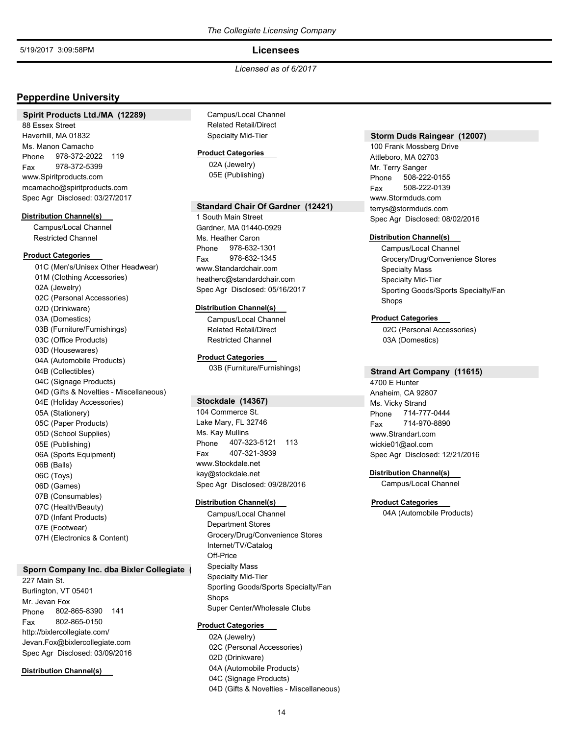## **Licensees**

### *Licensed as of 6/2017*

## **Pepperdine University**

#### **Spirit Products Ltd./MA (12289)**

88 Essex Street Haverhill, MA 01832 Phone 978-372-2022 119 Ms. Manon Camacho Fax 978-372-5399 www.Spiritproducts.com mcamacho@spiritproducts.com Spec Agr Disclosed: 03/27/2017

#### **Distribution Channel(s)**

Campus/Local Channel Restricted Channel

## **Product Categories**

01C (Men's/Unisex Other Headwear) 01M (Clothing Accessories) 02A (Jewelry) 02C (Personal Accessories) 02D (Drinkware) 03A (Domestics) 03B (Furniture/Furnishings) 03C (Office Products) 03D (Housewares) 04A (Automobile Products) 04B (Collectibles) 04C (Signage Products) 04D (Gifts & Novelties - Miscellaneous) 04E (Holiday Accessories) 05A (Stationery) 05C (Paper Products) 05D (School Supplies) 05E (Publishing) 06A (Sports Equipment) 06B (Balls) 06C (Toys) 06D (Games) 07B (Consumables) 07C (Health/Beauty) 07D (Infant Products) 07E (Footwear) 07H (Electronics & Content)

#### **Sporn Company Inc. dba Bixler Collegiate (**

227 Main St. Burlington, VT 05401 Phone 802-865-8390 141 Mr. Jevan Fox Fax 802-865-0150 http://bixlercollegiate.com/ Jevan.Fox@bixlercollegiate.com Spec Agr Disclosed: 03/09/2016

#### **Distribution Channel(s)**

Campus/Local Channel Related Retail/Direct Specialty Mid-Tier

### **Product Categories**

02A (Jewelry) 05E (Publishing)

### **Standard Chair Of Gardner (12421)**

1 South Main Street Gardner, MA 01440-0929 Phone 978-632-1301 Ms. Heather Caron Fax 978-632-1345 www.Standardchair.com heatherc@standardchair.com Spec Agr Disclosed: 05/16/2017

#### **Distribution Channel(s)**

Campus/Local Channel Related Retail/Direct Restricted Channel

### **Product Categories**

03B (Furniture/Furnishings)

### **Stockdale (14367)**

104 Commerce St. Lake Mary, FL 32746 Phone 407-323-5121 113 Ms. Kay Mullins Fax 407-321-3939 www.Stockdale.net kay@stockdale.net Spec Agr Disclosed: 09/28/2016

#### **Distribution Channel(s)**

Campus/Local Channel Department Stores Grocery/Drug/Convenience Stores Internet/TV/Catalog Off-Price Specialty Mass Specialty Mid-Tier Sporting Goods/Sports Specialty/Fan Shops Super Center/Wholesale Clubs

#### **Product Categories**

02A (Jewelry) 02C (Personal Accessories) 02D (Drinkware) 04A (Automobile Products) 04C (Signage Products) 04D (Gifts & Novelties - Miscellaneous)

## **Storm Duds Raingear (12007)**

100 Frank Mossberg Drive Attleboro, MA 02703 Phone 508-222-0155 Mr. Terry Sanger Fax 508-222-0139 www.Stormduds.com terrys@stormduds.com Spec Agr Disclosed: 08/02/2016

#### **Distribution Channel(s)**

Campus/Local Channel Grocery/Drug/Convenience Stores Specialty Mass Specialty Mid-Tier Sporting Goods/Sports Specialty/Fan Shops

## **Product Categories**

02C (Personal Accessories) 03A (Domestics)

### **Strand Art Company (11615)**

4700 E Hunter Anaheim, CA 92807 Phone 714-777-0444 Ms. Vicky Strand Fax 714-970-8890 www.Strandart.com wickie01@aol.com Spec Agr Disclosed: 12/21/2016

#### **Distribution Channel(s)**

Campus/Local Channel

#### **Product Categories**

04A (Automobile Products)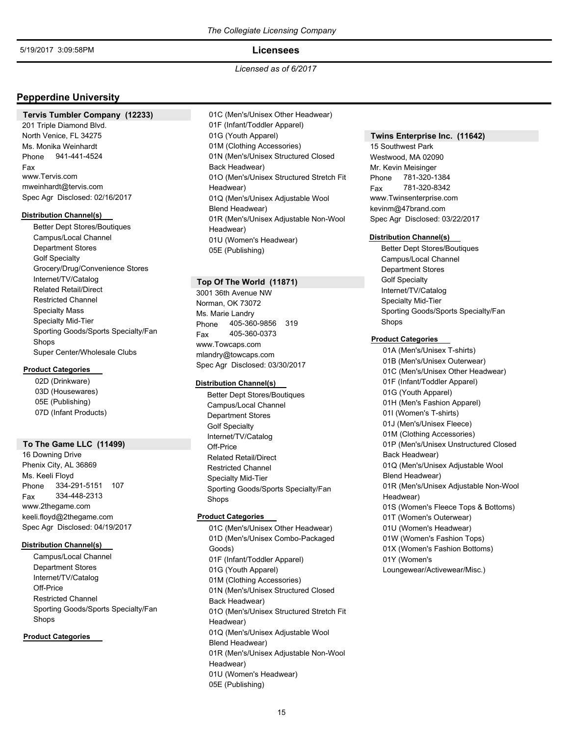### **Licensees**

*Licensed as of 6/2017*

## **Pepperdine University**

### **Tervis Tumbler Company (12233)**

201 Triple Diamond Blvd. North Venice, FL 34275 Phone 941-441-4524 Ms. Monika Weinhardt Fax www.Tervis.com mweinhardt@tervis.com Spec Agr Disclosed: 02/16/2017

#### **Distribution Channel(s)**

Better Dept Stores/Boutiques Campus/Local Channel Department Stores Golf Specialty Grocery/Drug/Convenience Stores Internet/TV/Catalog Related Retail/Direct Restricted Channel Specialty Mass Specialty Mid-Tier Sporting Goods/Sports Specialty/Fan Shops Super Center/Wholesale Clubs

#### **Product Categories**

02D (Drinkware) 03D (Housewares) 05E (Publishing) 07D (Infant Products)

### **To The Game LLC (11499)**

16 Downing Drive Phenix City, AL 36869 Phone 334-291-5151 107 Ms. Keeli Floyd Fax 334-448-2313 www.2thegame.com keeli.floyd@2thegame.com Spec Agr Disclosed: 04/19/2017

### **Distribution Channel(s)**

Campus/Local Channel Department Stores Internet/TV/Catalog Off-Price Restricted Channel Sporting Goods/Sports Specialty/Fan Shops

### **Product Categories**

01C (Men's/Unisex Other Headwear) 01F (Infant/Toddler Apparel) 01G (Youth Apparel) 01M (Clothing Accessories) 01N (Men's/Unisex Structured Closed Back Headwear) 01O (Men's/Unisex Structured Stretch Fit Headwear) 01Q (Men's/Unisex Adjustable Wool Blend Headwear) 01R (Men's/Unisex Adjustable Non-Wool Headwear) 01U (Women's Headwear) 05E (Publishing)

### **Top Of The World (11871)**

3001 36th Avenue NW Norman, OK 73072 Phone 405-360-9856 319 Ms. Marie Landry Fax 405-360-0373 www.Towcaps.com mlandry@towcaps.com Spec Agr Disclosed: 03/30/2017

## **Distribution Channel(s)**

Better Dept Stores/Boutiques Campus/Local Channel Department Stores Golf Specialty Internet/TV/Catalog Off-Price Related Retail/Direct Restricted Channel Specialty Mid-Tier Sporting Goods/Sports Specialty/Fan Shops

## **Product Categories**

01C (Men's/Unisex Other Headwear) 01D (Men's/Unisex Combo-Packaged Goods) 01F (Infant/Toddler Apparel) 01G (Youth Apparel) 01M (Clothing Accessories) 01N (Men's/Unisex Structured Closed Back Headwear) 01O (Men's/Unisex Structured Stretch Fit Headwear) 01Q (Men's/Unisex Adjustable Wool Blend Headwear) 01R (Men's/Unisex Adjustable Non-Wool Headwear) 01U (Women's Headwear) 05E (Publishing)

### **Twins Enterprise Inc. (11642)**

15 Southwest Park Westwood, MA 02090 Phone 781-320-1384 Mr. Kevin Meisinger Fax 781-320-8342 www.Twinsenterprise.com kevinm@47brand.com Spec Agr Disclosed: 03/22/2017

#### **Distribution Channel(s)**

Better Dept Stores/Boutiques Campus/Local Channel Department Stores Golf Specialty Internet/TV/Catalog Specialty Mid-Tier Sporting Goods/Sports Specialty/Fan Shops

#### **Product Categories**

01A (Men's/Unisex T-shirts) 01B (Men's/Unisex Outerwear) 01C (Men's/Unisex Other Headwear) 01F (Infant/Toddler Apparel) 01G (Youth Apparel) 01H (Men's Fashion Apparel) 01I (Women's T-shirts) 01J (Men's/Unisex Fleece) 01M (Clothing Accessories) 01P (Men's/Unisex Unstructured Closed Back Headwear) 01Q (Men's/Unisex Adjustable Wool Blend Headwear) 01R (Men's/Unisex Adjustable Non-Wool Headwear) 01S (Women's Fleece Tops & Bottoms) 01T (Women's Outerwear) 01U (Women's Headwear) 01W (Women's Fashion Tops) 01X (Women's Fashion Bottoms) 01Y (Women's Loungewear/Activewear/Misc.)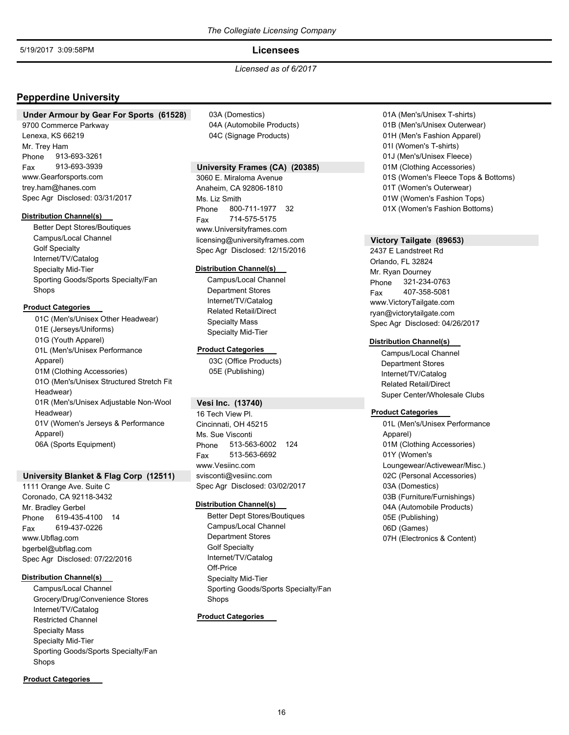## **Licensees**

## *Licensed as of 6/2017*

## **Pepperdine University**

### **Under Armour by Gear For Sports (61528)**

9700 Commerce Parkway Lenexa, KS 66219 Phone 913-693-3261 Mr. Trey Ham Fax 913-693-3939 www.Gearforsports.com trey.ham@hanes.com Spec Agr Disclosed: 03/31/2017

#### **Distribution Channel(s)**

Better Dept Stores/Boutiques Campus/Local Channel Golf Specialty Internet/TV/Catalog Specialty Mid-Tier Sporting Goods/Sports Specialty/Fan Shops

## **Product Categories**

01C (Men's/Unisex Other Headwear) 01E (Jerseys/Uniforms) 01G (Youth Apparel) 01L (Men's/Unisex Performance Apparel) 01M (Clothing Accessories) 01O (Men's/Unisex Structured Stretch Fit Headwear) 01R (Men's/Unisex Adjustable Non-Wool Headwear) 01V (Women's Jerseys & Performance Apparel) 06A (Sports Equipment)

### **University Blanket & Flag Corp (12511)**

1111 Orange Ave. Suite C Coronado, CA 92118-3432 Phone 619-435-4100 14 Mr. Bradley Gerbel Fax 619-437-0226 www.Ubflag.com bgerbel@ubflag.com Spec Agr Disclosed: 07/22/2016

#### **Distribution Channel(s)**

Campus/Local Channel Grocery/Drug/Convenience Stores Internet/TV/Catalog Restricted Channel Specialty Mass Specialty Mid-Tier Sporting Goods/Sports Specialty/Fan Shops

### **Product Categories**

03A (Domestics) 04A (Automobile Products) 04C (Signage Products)

## **University Frames (CA) (20385)**

3060 E. Miraloma Avenue Anaheim, CA 92806-1810 Phone 800-711-1977 32 Ms. Liz Smith Fax 714-575-5175 www.Universityframes.com licensing@universityframes.com Spec Agr Disclosed: 12/15/2016

### **Distribution Channel(s)**

Campus/Local Channel Department Stores Internet/TV/Catalog Related Retail/Direct Specialty Mass Specialty Mid-Tier

#### **Product Categories**

03C (Office Products) 05E (Publishing)

## **Vesi Inc. (13740)**

16 Tech View Pl. Cincinnati, OH 45215 Phone 513-563-6002 124 Ms. Sue Visconti Fax 513-563-6692 www.Vesiinc.com svisconti@vesiinc.com Spec Agr Disclosed: 03/02/2017

#### **Distribution Channel(s)**

Better Dept Stores/Boutiques Campus/Local Channel Department Stores Golf Specialty Internet/TV/Catalog Off-Price Specialty Mid-Tier Sporting Goods/Sports Specialty/Fan Shops

## **Product Categories**

01A (Men's/Unisex T-shirts) 01B (Men's/Unisex Outerwear) 01H (Men's Fashion Apparel) 01I (Women's T-shirts) 01J (Men's/Unisex Fleece) 01M (Clothing Accessories) 01S (Women's Fleece Tops & Bottoms) 01T (Women's Outerwear) 01W (Women's Fashion Tops) 01X (Women's Fashion Bottoms)

## **Victory Tailgate (89653)**

2437 E Landstreet Rd Orlando, FL 32824 Phone 321-234-0763 Mr. Ryan Dourney Fax 407-358-5081 www.VictoryTailgate.com ryan@victorytailgate.com Spec Agr Disclosed: 04/26/2017

### **Distribution Channel(s)**

Campus/Local Channel Department Stores Internet/TV/Catalog Related Retail/Direct Super Center/Wholesale Clubs

### **Product Categories**

01L (Men's/Unisex Performance Apparel) 01M (Clothing Accessories) 01Y (Women's Loungewear/Activewear/Misc.) 02C (Personal Accessories) 03A (Domestics) 03B (Furniture/Furnishings) 04A (Automobile Products) 05E (Publishing) 06D (Games) 07H (Electronics & Content)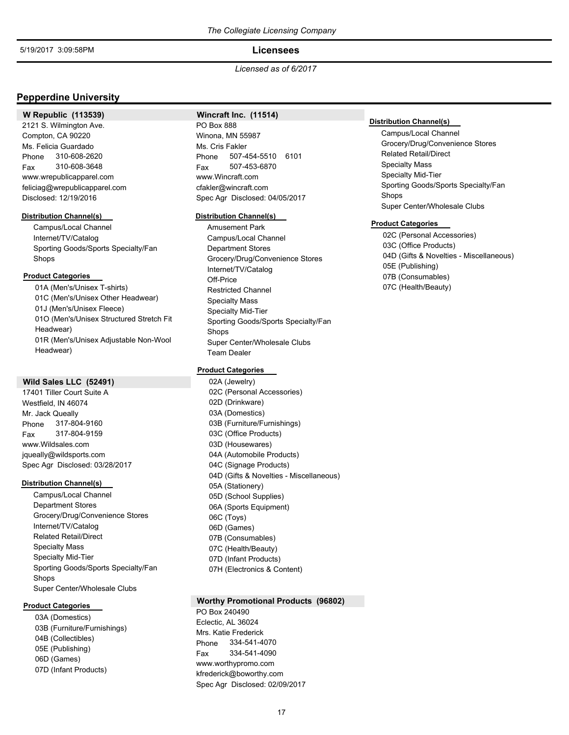### **Licensees**

*Licensed as of 6/2017*

## **Pepperdine University**

## **W Republic (113539)**

2121 S. Wilmington Ave. Compton, CA 90220 Phone 310-608-2620 Ms. Felicia Guardado Fax 310-608-3648 www.wrepublicapparel.com feliciag@wrepublicapparel.com Disclosed: 12/19/2016

#### **Distribution Channel(s)**

Campus/Local Channel Internet/TV/Catalog Sporting Goods/Sports Specialty/Fan Shops

### **Product Categories**

01A (Men's/Unisex T-shirts) 01C (Men's/Unisex Other Headwear) 01J (Men's/Unisex Fleece) 01O (Men's/Unisex Structured Stretch Fit Headwear) 01R (Men's/Unisex Adjustable Non-Wool Headwear)

### **Wild Sales LLC (52491)**

17401 Tiller Court Suite A Westfield, IN 46074 Phone 317-804-9160 Mr. Jack Queally Fax 317-804-9159 www.Wildsales.com jqueally@wildsports.com Spec Agr Disclosed: 03/28/2017

#### **Distribution Channel(s)**

Campus/Local Channel Department Stores Grocery/Drug/Convenience Stores Internet/TV/Catalog Related Retail/Direct Specialty Mass Specialty Mid-Tier Sporting Goods/Sports Specialty/Fan Shops Super Center/Wholesale Clubs

#### **Product Categories**

03A (Domestics) 03B (Furniture/Furnishings) 04B (Collectibles) 05E (Publishing) 06D (Games) 07D (Infant Products)

#### **Wincraft Inc. (11514)**

PO Box 888 Winona, MN 55987 Phone 507-454-5510 6101 Ms. Cris Fakler Fax 507-453-6870 www.Wincraft.com cfakler@wincraft.com Spec Agr Disclosed: 04/05/2017

#### **Distribution Channel(s)**

Amusement Park Campus/Local Channel Department Stores Grocery/Drug/Convenience Stores Internet/TV/Catalog Off-Price Restricted Channel Specialty Mass Specialty Mid-Tier Sporting Goods/Sports Specialty/Fan Shops Super Center/Wholesale Clubs Team Dealer

#### **Product Categories**

02A (Jewelry) 02C (Personal Accessories) 02D (Drinkware) 03A (Domestics) 03B (Furniture/Furnishings) 03C (Office Products) 03D (Housewares) 04A (Automobile Products) 04C (Signage Products) 04D (Gifts & Novelties - Miscellaneous) 05A (Stationery) 05D (School Supplies) 06A (Sports Equipment) 06C (Toys) 06D (Games) 07B (Consumables) 07C (Health/Beauty) 07D (Infant Products) 07H (Electronics & Content)

#### **Worthy Promotional Products (96802)**

PO Box 240490 Eclectic, AL 36024 Phone 334-541-4070 Mrs. Katie Frederick Fax 334-541-4090 www.worthypromo.com kfrederick@boworthy.com Spec Agr Disclosed: 02/09/2017

#### **Distribution Channel(s)**

Campus/Local Channel Grocery/Drug/Convenience Stores Related Retail/Direct Specialty Mass Specialty Mid-Tier Sporting Goods/Sports Specialty/Fan Shops Super Center/Wholesale Clubs

### **Product Categories**

02C (Personal Accessories) 03C (Office Products) 04D (Gifts & Novelties - Miscellaneous) 05E (Publishing) 07B (Consumables) 07C (Health/Beauty)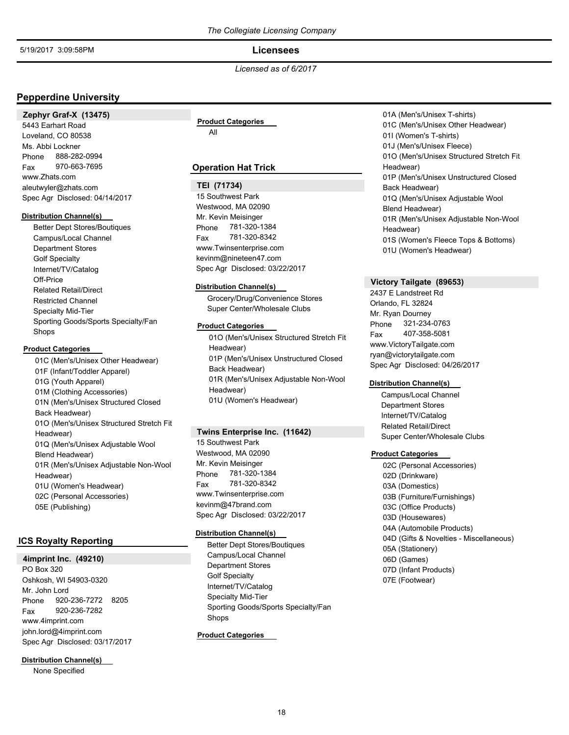**Licensees**

*Licensed as of 6/2017*

## **Pepperdine University**

**Zephyr Graf-X (13475)** 5443 Earhart Road Loveland, CO 80538 Phone 888-282-0994 Ms. Abbi Lockner Fax 970-663-7695 www.Zhats.com aleutwyler@zhats.com Spec Agr Disclosed: 04/14/2017

#### **Distribution Channel(s)**

Better Dept Stores/Boutiques Campus/Local Channel Department Stores Golf Specialty Internet/TV/Catalog Off-Price Related Retail/Direct Restricted Channel Specialty Mid-Tier Sporting Goods/Sports Specialty/Fan Shops

### **Product Categories**

01C (Men's/Unisex Other Headwear) 01F (Infant/Toddler Apparel) 01G (Youth Apparel) 01M (Clothing Accessories) 01N (Men's/Unisex Structured Closed Back Headwear) 01O (Men's/Unisex Structured Stretch Fit Headwear) 01Q (Men's/Unisex Adjustable Wool Blend Headwear) 01R (Men's/Unisex Adjustable Non-Wool Headwear) 01U (Women's Headwear) 02C (Personal Accessories) 05E (Publishing)

## **ICS Royalty Reporting**

## **4imprint Inc. (49210)**

PO Box 320 Oshkosh, WI 54903-0320 Phone 920-236-7272 8205 Mr. John Lord Fax 920-236-7282 www.4imprint.com john.lord@4imprint.com Spec Agr Disclosed: 03/17/2017

**Distribution Channel(s)**

None Specified

## All **Product Categories**

## **Operation Hat Trick**

#### **TEI (71734)**

15 Southwest Park Westwood, MA 02090 Phone 781-320-1384 Mr. Kevin Meisinger Fax 781-320-8342 www.Twinsenterprise.com kevinm@nineteen47.com Spec Agr Disclosed: 03/22/2017

#### **Distribution Channel(s)**

Grocery/Drug/Convenience Stores Super Center/Wholesale Clubs

#### **Product Categories**

01O (Men's/Unisex Structured Stretch Fit Headwear) 01P (Men's/Unisex Unstructured Closed Back Headwear) 01R (Men's/Unisex Adjustable Non-Wool Headwear) 01U (Women's Headwear)

#### **Twins Enterprise Inc. (11642)**

15 Southwest Park Westwood, MA 02090 Phone 781-320-1384 Mr. Kevin Meisinger Fax 781-320-8342 www.Twinsenterprise.com kevinm@47brand.com Spec Agr Disclosed: 03/22/2017

#### **Distribution Channel(s)**

Better Dept Stores/Boutiques Campus/Local Channel Department Stores Golf Specialty Internet/TV/Catalog Specialty Mid-Tier Sporting Goods/Sports Specialty/Fan Shops

## **Product Categories**

01A (Men's/Unisex T-shirts) 01C (Men's/Unisex Other Headwear) 01I (Women's T-shirts) 01J (Men's/Unisex Fleece) 01O (Men's/Unisex Structured Stretch Fit Headwear) 01P (Men's/Unisex Unstructured Closed Back Headwear) 01Q (Men's/Unisex Adjustable Wool Blend Headwear) 01R (Men's/Unisex Adjustable Non-Wool Headwear) 01S (Women's Fleece Tops & Bottoms) 01U (Women's Headwear)

## **Victory Tailgate (89653)**

2437 E Landstreet Rd Orlando, FL 32824 Phone 321-234-0763 Mr. Ryan Dourney Fax 407-358-5081 www.VictoryTailgate.com ryan@victorytailgate.com Spec Agr Disclosed: 04/26/2017

### **Distribution Channel(s)**

Campus/Local Channel Department Stores Internet/TV/Catalog Related Retail/Direct Super Center/Wholesale Clubs

#### **Product Categories**

02C (Personal Accessories) 02D (Drinkware) 03A (Domestics) 03B (Furniture/Furnishings) 03C (Office Products) 03D (Housewares) 04A (Automobile Products) 04D (Gifts & Novelties - Miscellaneous) 05A (Stationery) 06D (Games) 07D (Infant Products) 07E (Footwear)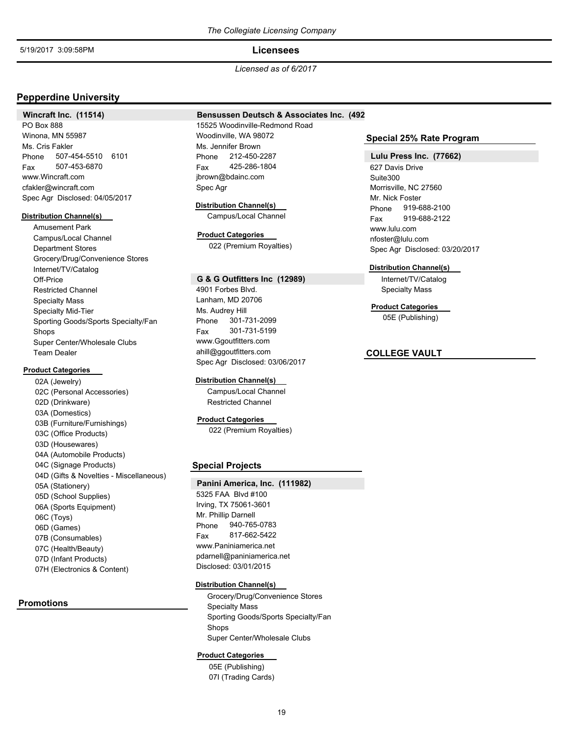## **Licensees**

*Licensed as of 6/2017*

## **Pepperdine University**

**Wincraft Inc. (11514)**

### **Bensussen Deutsch & Associates Inc. (492)**

PO Box 888 Winona, MN 55987 Phone 507-454-5510 6101 Ms. Cris Fakler Fax 507-453-6870 www.Wincraft.com cfakler@wincraft.com Spec Agr Disclosed: 04/05/2017

#### **Distribution Channel(s)**

Amusement Park Campus/Local Channel Department Stores Grocery/Drug/Convenience Stores Internet/TV/Catalog Off-Price Restricted Channel Specialty Mass Specialty Mid-Tier Sporting Goods/Sports Specialty/Fan Shops Super Center/Wholesale Clubs Team Dealer

## **Product Categories**

02A (Jewelry) 02C (Personal Accessories) 02D (Drinkware) 03A (Domestics) 03B (Furniture/Furnishings) 03C (Office Products) 03D (Housewares) 04A (Automobile Products) 04C (Signage Products) 04D (Gifts & Novelties - Miscellaneous) 05A (Stationery) 05D (School Supplies) 06A (Sports Equipment) 06C (Toys) 06D (Games) 07B (Consumables) 07C (Health/Beauty) 07D (Infant Products) 07H (Electronics & Content)

**Promotions**

## 15525 Woodinville-Redmond Road Woodinville, WA 98072 Phone 212-450-2287 Ms. Jennifer Brown Fax 425-286-1804 jbrown@bdainc.com Spec Agr

**Distribution Channel(s)** Campus/Local Channel

# **Product Categories**

022 (Premium Royalties)

#### **G & G Outfitters Inc (12989)**

4901 Forbes Blvd. Lanham, MD 20706 Phone 301-731-2099 Ms. Audrey Hill Fax 301-731-5199 www.Ggoutfitters.com ahill@ggoutfitters.com Spec Agr Disclosed: 03/06/2017

#### **Distribution Channel(s)**

Campus/Local Channel Restricted Channel

#### **Product Categories**

022 (Premium Royalties)

## **Special Projects**

**Panini America, Inc. (111982)** 5325 FAA Blvd #100 Irving, TX 75061-3601 Phone 940-765-0783 Mr. Phillip Darnell Fax 817-662-5422 www.Paniniamerica.net pdarnell@paniniamerica.net Disclosed: 03/01/2015

#### **Distribution Channel(s)**

Grocery/Drug/Convenience Stores Specialty Mass Sporting Goods/Sports Specialty/Fan Shops Super Center/Wholesale Clubs

#### **Product Categories**

05E (Publishing) 07I (Trading Cards)

### **Special 25% Rate Program**

#### **Lulu Press Inc. (77662)**

627 Davis Drive Suite300 Morrisville, NC 27560 Phone 919-688-2100 Mr. Nick Foster Fax 919-688-2122 www.lulu.com nfoster@lulu.com Spec Agr Disclosed: 03/20/2017

#### **Distribution Channel(s)**

Internet/TV/Catalog Specialty Mass

05E (Publishing) **Product Categories**

## **COLLEGE VAULT**